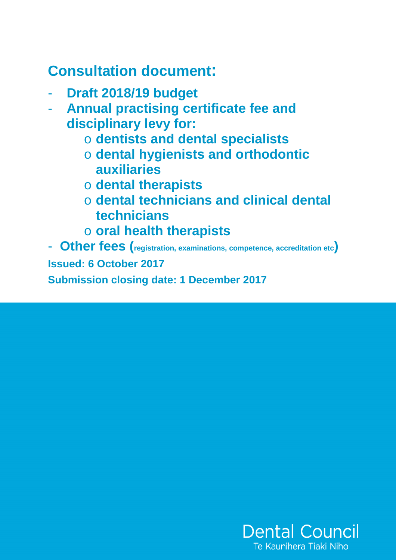# **Consultation document:**

- **Draft 2018/19 budget**
- **Annual practising certificate fee and disciplinary levy for:** 
	- o **dentists and dental specialists**
	- o **dental hygienists and orthodontic auxiliaries**
	- o **dental therapists**
	- o **dental technicians and clinical dental technicians**
	- o **oral health therapists**

- **Other fees (registration, examinations, competence, accreditation etc) Issued: 6 October 2017 Submission closing date: 1 December 2017** 

> **Dental Council** Te Kaunihera Tiaki Niho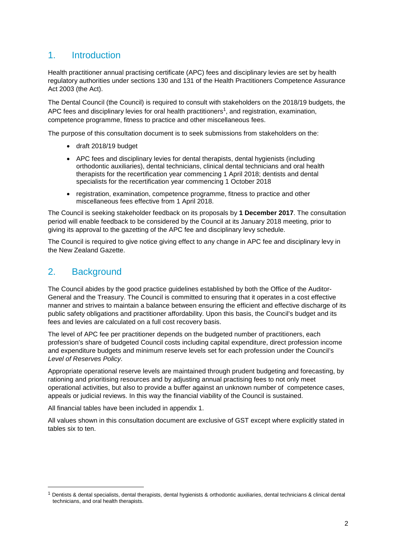# 1. Introduction

Health practitioner annual practising certificate (APC) fees and disciplinary levies are set by health regulatory authorities under sections 130 and 131 of the Health Practitioners Competence Assurance Act 2003 (the Act).

The Dental Council (the Council) is required to consult with stakeholders on the 2018/19 budgets, the APC fees and disciplinary levies for oral health practitioners<sup>1</sup>, and registration, examination, competence programme, fitness to practice and other miscellaneous fees.

The purpose of this consultation document is to seek submissions from stakeholders on the:

- draft 2018/19 budget
- APC fees and disciplinary levies for dental therapists, dental hygienists (including orthodontic auxiliaries), dental technicians, clinical dental technicians and oral health therapists for the recertification year commencing 1 April 2018; dentists and dental specialists for the recertification year commencing 1 October 2018
- registration, examination, competence programme, fitness to practice and other miscellaneous fees effective from 1 April 2018.

The Council is seeking stakeholder feedback on its proposals by **1 December 2017**. The consultation period will enable feedback to be considered by the Council at its January 2018 meeting, prior to giving its approval to the gazetting of the APC fee and disciplinary levy schedule.

The Council is required to give notice giving effect to any change in APC fee and disciplinary levy in the New Zealand Gazette.

# 2. Background

 $\overline{a}$ 

The Council abides by the good practice guidelines established by both the Office of the Auditor-General and the Treasury. The Council is committed to ensuring that it operates in a cost effective manner and strives to maintain a balance between ensuring the efficient and effective discharge of its public safety obligations and practitioner affordability. Upon this basis, the Council's budget and its fees and levies are calculated on a full cost recovery basis.

The level of APC fee per practitioner depends on the budgeted number of practitioners, each profession's share of budgeted Council costs including capital expenditure, direct profession income and expenditure budgets and minimum reserve levels set for each profession under the Council's Level of Reserves Policy.

Appropriate operational reserve levels are maintained through prudent budgeting and forecasting, by rationing and prioritising resources and by adjusting annual practising fees to not only meet operational activities, but also to provide a buffer against an unknown number of competence cases, appeals or judicial reviews. In this way the financial viability of the Council is sustained.

All financial tables have been included in appendix 1.

All values shown in this consultation document are exclusive of GST except where explicitly stated in tables six to ten.

 $1$  Dentists & dental specialists, dental therapists, dental hygienists & orthodontic auxiliaries, dental technicians & clinical dental technicians, and oral health therapists.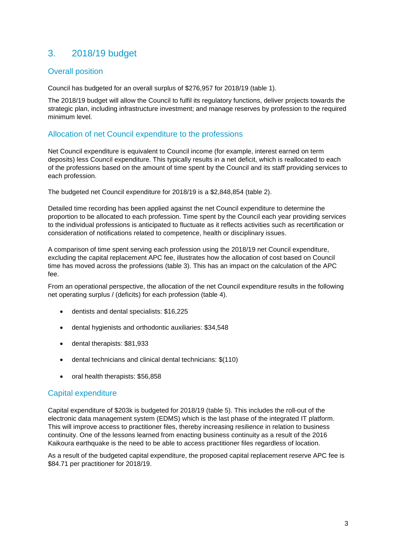# 3. 2018/19 budget

### Overall position

Council has budgeted for an overall surplus of \$276,957 for 2018/19 (table 1).

The 2018/19 budget will allow the Council to fulfil its regulatory functions, deliver projects towards the strategic plan, including infrastructure investment; and manage reserves by profession to the required minimum level.

### Allocation of net Council expenditure to the professions

Net Council expenditure is equivalent to Council income (for example, interest earned on term deposits) less Council expenditure. This typically results in a net deficit, which is reallocated to each of the professions based on the amount of time spent by the Council and its staff providing services to each profession.

The budgeted net Council expenditure for 2018/19 is a \$2,848,854 (table 2).

Detailed time recording has been applied against the net Council expenditure to determine the proportion to be allocated to each profession. Time spent by the Council each year providing services to the individual professions is anticipated to fluctuate as it reflects activities such as recertification or consideration of notifications related to competence, health or disciplinary issues.

A comparison of time spent serving each profession using the 2018/19 net Council expenditure, excluding the capital replacement APC fee, illustrates how the allocation of cost based on Council time has moved across the professions (table 3). This has an impact on the calculation of the APC fee.

From an operational perspective, the allocation of the net Council expenditure results in the following net operating surplus / (deficits) for each profession (table 4).

- dentists and dental specialists: \$16,225
- dental hygienists and orthodontic auxiliaries: \$34,548
- dental therapists: \$81,933
- dental technicians and clinical dental technicians: \$(110)
- oral health therapists: \$56,858

### Capital expenditure

Capital expenditure of \$203k is budgeted for 2018/19 (table 5). This includes the roll-out of the electronic data management system (EDMS) which is the last phase of the integrated IT platform. This will improve access to practitioner files, thereby increasing resilience in relation to business continuity. One of the lessons learned from enacting business continuity as a result of the 2016 Kaikoura earthquake is the need to be able to access practitioner files regardless of location.

As a result of the budgeted capital expenditure, the proposed capital replacement reserve APC fee is \$84.71 per practitioner for 2018/19.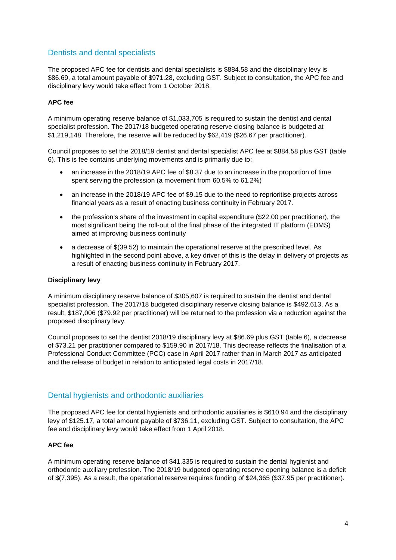## Dentists and dental specialists

The proposed APC fee for dentists and dental specialists is \$884.58 and the disciplinary levy is \$86.69, a total amount payable of \$971.28, excluding GST. Subject to consultation, the APC fee and disciplinary levy would take effect from 1 October 2018.

#### **APC fee**

A minimum operating reserve balance of \$1,033,705 is required to sustain the dentist and dental specialist profession. The 2017/18 budgeted operating reserve closing balance is budgeted at \$1,219,148. Therefore, the reserve will be reduced by \$62,419 (\$26.67 per practitioner).

Council proposes to set the 2018/19 dentist and dental specialist APC fee at \$884.58 plus GST (table 6). This is fee contains underlying movements and is primarily due to:

- an increase in the 2018/19 APC fee of \$8.37 due to an increase in the proportion of time spent serving the profession (a movement from 60.5% to 61.2%)
- an increase in the 2018/19 APC fee of \$9.15 due to the need to reprioritise projects across financial years as a result of enacting business continuity in February 2017.
- the profession's share of the investment in capital expenditure (\$22.00 per practitioner), the most significant being the roll-out of the final phase of the integrated IT platform (EDMS) aimed at improving business continuity
- a decrease of \$(39.52) to maintain the operational reserve at the prescribed level. As highlighted in the second point above, a key driver of this is the delay in delivery of projects as a result of enacting business continuity in February 2017.

#### **Disciplinary levy**

A minimum disciplinary reserve balance of \$305,607 is required to sustain the dentist and dental specialist profession. The 2017/18 budgeted disciplinary reserve closing balance is \$492,613. As a result, \$187,006 (\$79.92 per practitioner) will be returned to the profession via a reduction against the proposed disciplinary levy.

Council proposes to set the dentist 2018/19 disciplinary levy at \$86.69 plus GST (table 6), a decrease of \$73.21 per practitioner compared to \$159.90 in 2017/18. This decrease reflects the finalisation of a Professional Conduct Committee (PCC) case in April 2017 rather than in March 2017 as anticipated and the release of budget in relation to anticipated legal costs in 2017/18.

### Dental hygienists and orthodontic auxiliaries

The proposed APC fee for dental hygienists and orthodontic auxiliaries is \$610.94 and the disciplinary levy of \$125.17, a total amount payable of \$736.11, excluding GST. Subject to consultation, the APC fee and disciplinary levy would take effect from 1 April 2018.

#### **APC fee**

A minimum operating reserve balance of \$41,335 is required to sustain the dental hygienist and orthodontic auxiliary profession. The 2018/19 budgeted operating reserve opening balance is a deficit of \$(7,395). As a result, the operational reserve requires funding of \$24,365 (\$37.95 per practitioner).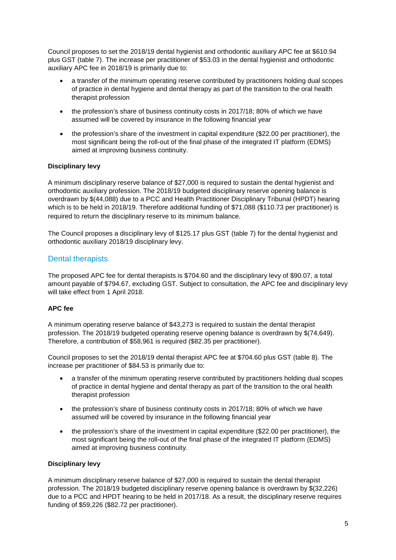Council proposes to set the 2018/19 dental hygienist and orthodontic auxiliary APC fee at \$610.94 plus GST (table 7). The increase per practitioner of \$53.03 in the dental hygienist and orthodontic auxiliary APC fee in 2018/19 is primarily due to:

- a transfer of the minimum operating reserve contributed by practitioners holding dual scopes of practice in dental hygiene and dental therapy as part of the transition to the oral health therapist profession
- the profession's share of business continuity costs in 2017/18; 80% of which we have assumed will be covered by insurance in the following financial year
- the profession's share of the investment in capital expenditure (\$22.00 per practitioner), the most significant being the roll-out of the final phase of the integrated IT platform (EDMS) aimed at improving business continuity.

### **Disciplinary levy**

A minimum disciplinary reserve balance of \$27,000 is required to sustain the dental hygienist and orthodontic auxiliary profession. The 2018/19 budgeted disciplinary reserve opening balance is overdrawn by \$(44,088) due to a PCC and Health Practitioner Disciplinary Tribunal (HPDT) hearing which is to be held in 2018/19. Therefore additional funding of \$71,088 (\$110.73 per practitioner) is required to return the disciplinary reserve to its minimum balance.

The Council proposes a disciplinary levy of \$125.17 plus GST (table 7) for the dental hygienist and orthodontic auxiliary 2018/19 disciplinary levy.

## Dental therapists

The proposed APC fee for dental therapists is \$704.60 and the disciplinary levy of \$90.07, a total amount payable of \$794.67, excluding GST. Subject to consultation, the APC fee and disciplinary levy will take effect from 1 April 2018.

#### **APC fee**

A minimum operating reserve balance of \$43,273 is required to sustain the dental therapist profession. The 2018/19 budgeted operating reserve opening balance is overdrawn by \$(74,649). Therefore, a contribution of \$58,961 is required (\$82.35 per practitioner).

Council proposes to set the 2018/19 dental therapist APC fee at \$704.60 plus GST (table 8). The increase per practitioner of \$84.53 is primarily due to:

- a transfer of the minimum operating reserve contributed by practitioners holding dual scopes of practice in dental hygiene and dental therapy as part of the transition to the oral health therapist profession
- the profession's share of business continuity costs in 2017/18; 80% of which we have assumed will be covered by insurance in the following financial year
- the profession's share of the investment in capital expenditure (\$22.00 per practitioner), the most significant being the roll-out of the final phase of the integrated IT platform (EDMS) aimed at improving business continuity.

#### **Disciplinary levy**

A minimum disciplinary reserve balance of \$27,000 is required to sustain the dental therapist profession. The 2018/19 budgeted disciplinary reserve opening balance is overdrawn by \$(32,226) due to a PCC and HPDT hearing to be held in 2017/18. As a result, the disciplinary reserve requires funding of \$59,226 (\$82.72 per practitioner).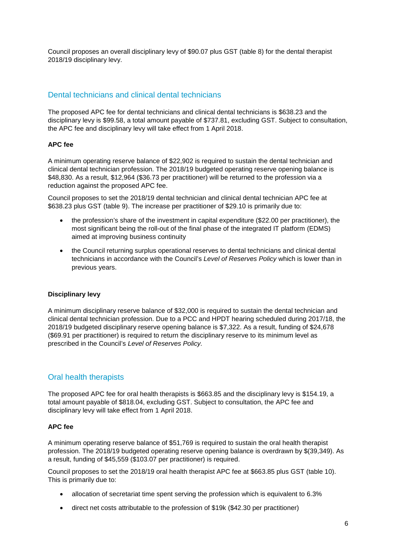Council proposes an overall disciplinary levy of \$90.07 plus GST (table 8) for the dental therapist 2018/19 disciplinary levy.

# Dental technicians and clinical dental technicians

The proposed APC fee for dental technicians and clinical dental technicians is \$638.23 and the disciplinary levy is \$99.58, a total amount payable of \$737.81, excluding GST. Subject to consultation, the APC fee and disciplinary levy will take effect from 1 April 2018.

### **APC fee**

A minimum operating reserve balance of \$22,902 is required to sustain the dental technician and clinical dental technician profession. The 2018/19 budgeted operating reserve opening balance is \$48,830. As a result, \$12,964 (\$36.73 per practitioner) will be returned to the profession via a reduction against the proposed APC fee.

Council proposes to set the 2018/19 dental technician and clinical dental technician APC fee at \$638.23 plus GST (table 9). The increase per practitioner of \$29.10 is primarily due to:

- the profession's share of the investment in capital expenditure (\$22.00 per practitioner), the most significant being the roll-out of the final phase of the integrated IT platform (EDMS) aimed at improving business continuity
- the Council returning surplus operational reserves to dental technicians and clinical dental technicians in accordance with the Council's Level of Reserves Policy which is lower than in previous years.

#### **Disciplinary levy**

A minimum disciplinary reserve balance of \$32,000 is required to sustain the dental technician and clinical dental technician profession. Due to a PCC and HPDT hearing scheduled during 2017/18, the 2018/19 budgeted disciplinary reserve opening balance is \$7,322. As a result, funding of \$24,678 (\$69.91 per practitioner) is required to return the disciplinary reserve to its minimum level as prescribed in the Council's Level of Reserves Policy.

## Oral health therapists

The proposed APC fee for oral health therapists is \$663.85 and the disciplinary levy is \$154.19, a total amount payable of \$818.04, excluding GST. Subject to consultation, the APC fee and disciplinary levy will take effect from 1 April 2018.

#### **APC fee**

A minimum operating reserve balance of \$51,769 is required to sustain the oral health therapist profession. The 2018/19 budgeted operating reserve opening balance is overdrawn by \$(39,349). As a result, funding of \$45,559 (\$103.07 per practitioner) is required.

Council proposes to set the 2018/19 oral health therapist APC fee at \$663.85 plus GST (table 10). This is primarily due to:

- allocation of secretariat time spent serving the profession which is equivalent to 6.3%
- direct net costs attributable to the profession of \$19k (\$42.30 per practitioner)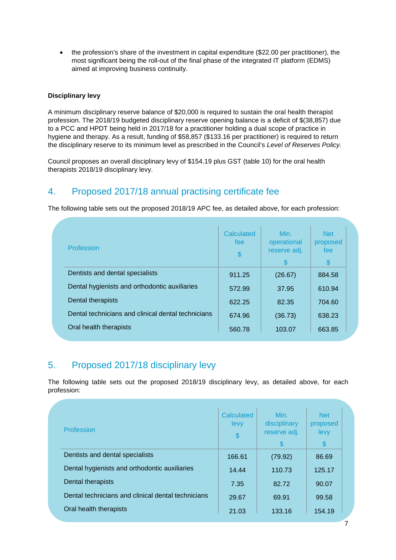• the profession's share of the investment in capital expenditure (\$22.00 per practitioner), the most significant being the roll-out of the final phase of the integrated IT platform (EDMS) aimed at improving business continuity.

#### **Disciplinary levy**

A minimum disciplinary reserve balance of \$20,000 is required to sustain the oral health therapist profession. The 2018/19 budgeted disciplinary reserve opening balance is a deficit of \$(38,857) due to a PCC and HPDT being held in 2017/18 for a practitioner holding a dual scope of practice in hygiene and therapy. As a result, funding of \$58,857 (\$133.16 per practitioner) is required to return the disciplinary reserve to its minimum level as prescribed in the Council's Level of Reserves Policy.

Council proposes an overall disciplinary levy of \$154.19 plus GST (table 10) for the oral health therapists 2018/19 disciplinary levy.

# 4. Proposed 2017/18 annual practising certificate fee

The following table sets out the proposed 2018/19 APC fee, as detailed above, for each profession:

| Profession                                         | Calculated<br>fee<br>$\frac{1}{2}$ | Min.<br>operational<br>reserve adj.<br>\$ | <b>Net</b><br>proposed<br>fee<br>$\mathbb{S}$ |  |
|----------------------------------------------------|------------------------------------|-------------------------------------------|-----------------------------------------------|--|
| Dentists and dental specialists                    | 911.25                             | (26.67)                                   | 884.58                                        |  |
| Dental hygienists and orthodontic auxiliaries      | 572.99                             | 37.95                                     | 610.94                                        |  |
| Dental therapists                                  | 622.25                             | 82.35                                     | 704.60                                        |  |
| Dental technicians and clinical dental technicians | 674.96                             | (36.73)                                   | 638.23                                        |  |
| Oral health therapists                             | 560.78                             | 103.07                                    | 663.85                                        |  |

# 5. Proposed 2017/18 disciplinary levy

The following table sets out the proposed 2018/19 disciplinary levy, as detailed above, for each profession:

| Profession                                         | Calculated<br>levy<br>\$ | Min.<br>disciplinary<br>reserve adj.<br>S | <b>Net</b><br>proposed<br>levy<br>$\boldsymbol{\mathsf{S}}$ |  |
|----------------------------------------------------|--------------------------|-------------------------------------------|-------------------------------------------------------------|--|
| Dentists and dental specialists                    | 166.61                   | (79.92)                                   | 86.69                                                       |  |
| Dental hygienists and orthodontic auxiliaries      | 14.44                    | 110.73                                    | 125.17                                                      |  |
| Dental therapists                                  | 7.35                     | 82.72                                     | 90.07                                                       |  |
| Dental technicians and clinical dental technicians | 29.67                    | 69.91                                     | 99.58                                                       |  |
| Oral health therapists                             | 21.03                    | 133.16                                    | 154.19                                                      |  |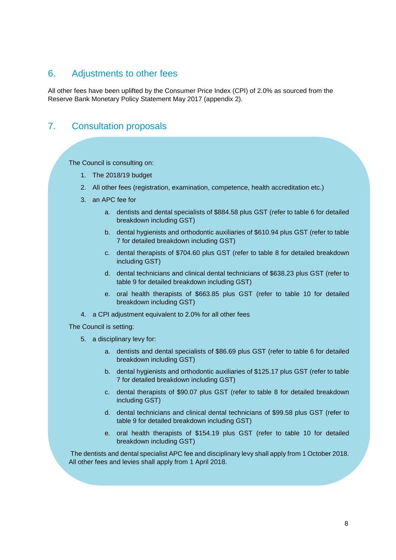# 6. Adjustments to other fees

All other fees have been uplifted by the Consumer Price Index (CPI) of 2.0% as sourced from the Reserve Bank Monetary Policy Statement May 2017 (appendix 2).

# 7. Consultation proposals

The Council is consulting on:

- 1. The 2018/19 budget
- 2. All other fees (registration, examination, competence, health accreditation etc.)
- 3. an APC fee for
	- a. dentists and dental specialists of \$884.58 plus GST (refer to table 6 for detailed breakdown including GST)
	- b. dental hygienists and orthodontic auxiliaries of \$610.94 plus GST (refer to table 7 for detailed breakdown including GST)
	- c. dental therapists of \$704.60 plus GST (refer to table 8 for detailed breakdown including GST)
	- d. dental technicians and clinical dental technicians of \$638.23 plus GST (refer to table 9 for detailed breakdown including GST)
	- e. oral health therapists of \$663.85 plus GST (refer to table 10 for detailed breakdown including GST)
- 4. a CPI adjustment equivalent to 2.0% for all other fees

The Council is setting:

- 5. a disciplinary levy for:
	- a. dentists and dental specialists of \$86.69 plus GST (refer to table 6 for detailed breakdown including GST)
	- b. dental hygienists and orthodontic auxiliaries of \$125.17 plus GST (refer to table 7 for detailed breakdown including GST)
	- c. dental therapists of \$90.07 plus GST (refer to table 8 for detailed breakdown including GST)
	- d. dental technicians and clinical dental technicians of \$99.58 plus GST (refer to table 9 for detailed breakdown including GST)
	- e. oral health therapists of \$154.19 plus GST (refer to table 10 for detailed breakdown including GST)

 The dentists and dental specialist APC fee and disciplinary levy shall apply from 1 October 2018. All other fees and levies shall apply from 1 April 2018.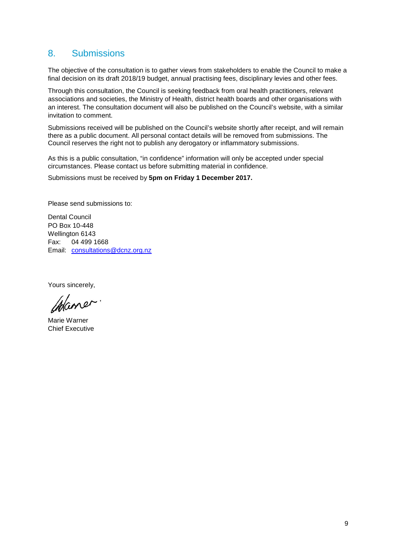# 8. Submissions

The objective of the consultation is to gather views from stakeholders to enable the Council to make a final decision on its draft 2018/19 budget, annual practising fees, disciplinary levies and other fees.

Through this consultation, the Council is seeking feedback from oral health practitioners, relevant associations and societies, the Ministry of Health, district health boards and other organisations with an interest. The consultation document will also be published on the Council's website, with a similar invitation to comment.

Submissions received will be published on the Council's website shortly after receipt, and will remain there as a public document. All personal contact details will be removed from submissions. The Council reserves the right not to publish any derogatory or inflammatory submissions.

As this is a public consultation, "in confidence" information will only be accepted under special circumstances. Please contact us before submitting material in confidence.

Submissions must be received by **5pm on Friday 1 December 2017.**

Please send submissions to:

Dental Council PO Box 10-448 Wellington 6143 Fax: 04 499 1668 Email: consultations@dcnz.org.nz

Yours sincerely,

Chaner

Marie Warner Chief Executive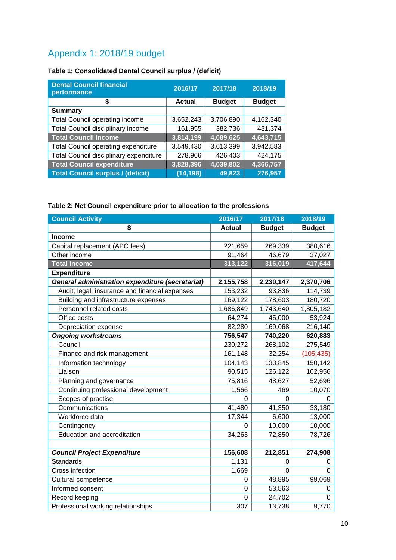# Appendix 1: 2018/19 budget

# **Table 1: Consolidated Dental Council surplus / (deficit)**

| <b>Dental Council financial</b><br>performance | 2016/17       | 2017/18       | 2018/19       |
|------------------------------------------------|---------------|---------------|---------------|
| \$                                             | <b>Actual</b> | <b>Budget</b> | <b>Budget</b> |
| <b>Summary</b>                                 |               |               |               |
| <b>Total Council operating income</b>          | 3,652,243     | 3,706,890     | 4,162,340     |
| Total Council disciplinary income              | 161,955       | 382,736       | 481,374       |
| <b>Total Council income</b>                    | 3,814,199     | 4,089,625     | 4,643,715     |
| <b>Total Council operating expenditure</b>     | 3,549,430     | 3,613,399     | 3,942,583     |
| Total Council disciplinary expenditure         | 278,966       | 426,403       | 424,175       |
| <b>Total Council expenditure</b>               | 3,828,396     | 4,039,802     | 4,366,757     |
| <b>Total Council surplus / (deficit)</b>       | (14, 198)     | 49,823        | 276,957       |

# **Table 2: Net Council expenditure prior to allocation to the professions**

| <b>Council Activity</b>                          | 2016/17       | 2017/18       | 2018/19       |
|--------------------------------------------------|---------------|---------------|---------------|
| \$                                               | <b>Actual</b> | <b>Budget</b> | <b>Budget</b> |
| <b>Income</b>                                    |               |               |               |
| Capital replacement (APC fees)                   | 221,659       | 269,339       | 380,616       |
| Other income                                     | 91,464        | 46,679        | 37,027        |
| <b>Total income</b>                              | 313,122       | 316,019       | 417,644       |
| <b>Expenditure</b>                               |               |               |               |
| General administration expenditure (secretariat) | 2,155,758     | 2,230,147     | 2,370,706     |
| Audit, legal, insurance and financial expenses   | 153,232       | 93,836        | 114,739       |
| Building and infrastructure expenses             | 169,122       | 178,603       | 180,720       |
| Personnel related costs                          | 1,686,849     | 1,743,640     | 1,805,182     |
| Office costs                                     | 64,274        | 45,000        | 53,924        |
| Depreciation expense                             | 82,280        | 169,068       | 216,140       |
| <b>Ongoing workstreams</b>                       | 756,547       | 740,220       | 620,883       |
| Council                                          | 230,272       | 268,102       | 275,549       |
| Finance and risk management                      | 161,148       | 32,254        | (105, 435)    |
| Information technology                           | 104,143       | 133,845       | 150,142       |
| Liaison                                          | 90,515        | 126,122       | 102,956       |
| Planning and governance                          | 75,816        | 48,627        | 52,696        |
| Continuing professional development              | 1,566         | 469           | 10,070        |
| Scopes of practise                               | 0             | 0             | 0             |
| Communications                                   | 41,480        | 41,350        | 33,180        |
| Workforce data                                   | 17,344        | 6,600         | 13,000        |
| Contingency                                      | 0             | 10,000        | 10,000        |
| <b>Education and accreditation</b>               | 34,263        | 72,850        | 78,726        |
|                                                  |               |               |               |
| <b>Council Project Expenditure</b>               | 156,608       | 212,851       | 274,908       |
| Standards                                        | 1,131         | 0             | 0             |
| Cross infection                                  | 1,669         | $\mathbf 0$   | $\Omega$      |
| Cultural competence                              | $\Omega$      | 48,895        | 99,069        |
| Informed consent                                 | 0             | 53,563        | 0             |
| Record keeping                                   | $\mathbf 0$   | 24,702        | $\Omega$      |
| Professional working relationships               | 307           | 13,738        | 9,770         |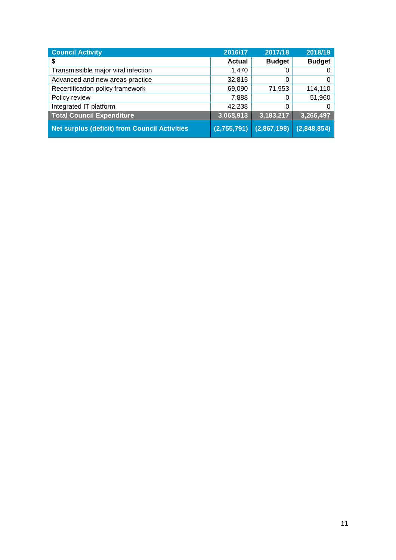| <b>Council Activity</b>                              | 2016/17       | 2017/18       | 2018/19       |
|------------------------------------------------------|---------------|---------------|---------------|
| \$                                                   | <b>Actual</b> | <b>Budget</b> | <b>Budget</b> |
| Transmissible major viral infection                  | 1,470         | 0             | 0             |
| Advanced and new areas practice                      | 32,815        | 0             | 0             |
| Recertification policy framework                     | 69,090        | 71,953        | 114,110       |
| Policy review                                        | 7,888         | 0             | 51,960        |
| Integrated IT platform                               | 42,238        | 0             | 0             |
| <b>Total Council Expenditure</b>                     | 3,068,913     | 3,183,217     | 3,266,497     |
| <b>Net surplus (deficit) from Council Activities</b> | (2,755,791)   | (2,867,198)   | (2,848,854)   |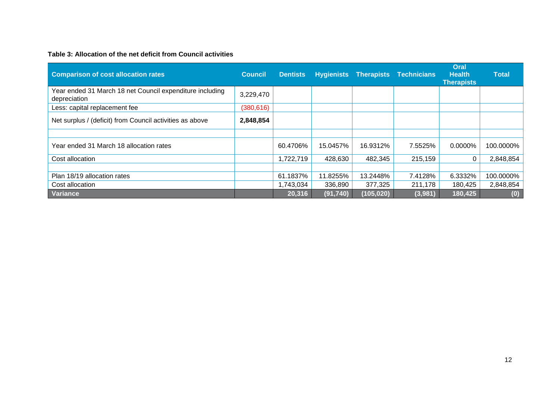#### **Table 3: Allocation of the net deficit from Council activities**

| <b>Comparison of cost allocation rates</b>                               | <b>Council</b> | <b>Dentists</b> |           | <b>Hygienists Therapists</b> | <b>Technicians</b> | Oral<br><b>Health</b><br><b>Therapists</b> | <b>Total</b> |
|--------------------------------------------------------------------------|----------------|-----------------|-----------|------------------------------|--------------------|--------------------------------------------|--------------|
| Year ended 31 March 18 net Council expenditure including<br>depreciation | 3,229,470      |                 |           |                              |                    |                                            |              |
| Less: capital replacement fee                                            | (380, 616)     |                 |           |                              |                    |                                            |              |
| Net surplus / (deficit) from Council activities as above                 | 2,848,854      |                 |           |                              |                    |                                            |              |
|                                                                          |                |                 |           |                              |                    |                                            |              |
| Year ended 31 March 18 allocation rates                                  |                | 60.4706%        | 15.0457%  | 16.9312%                     | 7.5525%            | $0.0000\%$                                 | 100.0000%    |
| Cost allocation                                                          |                | 1,722,719       | 428,630   | 482,345                      | 215,159            |                                            | 2,848,854    |
|                                                                          |                |                 |           |                              |                    |                                            |              |
| Plan 18/19 allocation rates                                              |                | 61.1837%        | 11.8255%  | 13.2448%                     | 7.4128%            | 6.3332%                                    | 100.0000%    |
| Cost allocation                                                          |                | 1,743,034       | 336,890   | 377,325                      | 211,178            | 180,425                                    | 2,848,854    |
| Variance                                                                 |                | 20,316          | (91, 740) | (105, 020)                   | (3,981)            | 180,425                                    | (0)          |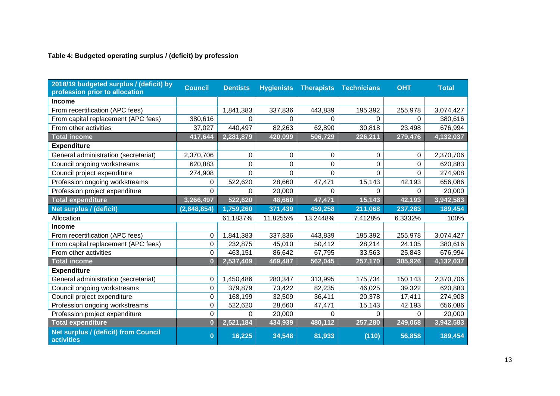### **Table 4: Budgeted operating surplus / (deficit) by profession**

| 2018/19 budgeted surplus / (deficit) by<br>profession prior to allocation | <b>Council</b> | <b>Dentists</b> | <b>Hygienists</b> | <b>Therapists</b> | <b>Technicians</b> | <b>OHT</b> | <b>Total</b> |
|---------------------------------------------------------------------------|----------------|-----------------|-------------------|-------------------|--------------------|------------|--------------|
| <b>Income</b>                                                             |                |                 |                   |                   |                    |            |              |
| From recertification (APC fees)                                           |                | 1,841,383       | 337,836           | 443,839           | 195,392            | 255,978    | 3,074,427    |
| From capital replacement (APC fees)                                       | 380,616        | 0               | 0                 | $\Omega$          | $\Omega$           | 0          | 380,616      |
| From other activities                                                     | 37,027         | 440,497         | 82,263            | 62,890            | 30,818             | 23,498     | 676,994      |
| <b>Total income</b>                                                       | 417,644        | 2,281,879       | 420,099           | 506,729           | 226,211            | 279,476    | 4,132,037    |
| <b>Expenditure</b>                                                        |                |                 |                   |                   |                    |            |              |
| General administration (secretariat)                                      | 2,370,706      | 0               | 0                 | 0                 | 0                  | 0          | 2,370,706    |
| Council ongoing workstreams                                               | 620,883        | 0               | 0                 | $\mathbf 0$       | $\mathbf 0$        | 0          | 620,883      |
| Council project expenditure                                               | 274,908        | 0               | 0                 | $\Omega$          | $\Omega$           | 0          | 274,908      |
| Profession ongoing workstreams                                            | $\Omega$       | 522,620         | 28,660            | 47,471            | 15,143             | 42,193     | 656,086      |
| Profession project expenditure                                            | 0              | 0               | 20,000            | $\Omega$          | 0                  | 0          | 20,000       |
| <b>Total expenditure</b>                                                  | 3,266,497      | 522,620         | 48,660            | 47,471            | 15,143             | 42,193     | 3,942,583    |
| Net surplus / (deficit)                                                   | (2,848,854)    | 1,759,260       | 371,439           | 459,258           | 211,068            | 237,283    | 189,454      |
| Allocation                                                                |                | 61.1837%        | 11.8255%          | 13.2448%          | 7.4128%            | 6.3332%    | 100%         |
| <b>Income</b>                                                             |                |                 |                   |                   |                    |            |              |
| From recertification (APC fees)                                           | 0              | 1,841,383       | 337,836           | 443,839           | 195,392            | 255,978    | 3,074,427    |
| From capital replacement (APC fees)                                       | $\mathbf 0$    | 232,875         | 45,010            | 50,412            | 28,214             | 24,105     | 380,616      |
| From other activities                                                     | $\Omega$       | 463,151         | 86,642            | 67,795            | 33,563             | 25,843     | 676,994      |
| <b>Total income</b>                                                       | $\bf{0}$       | 2,537,409       | 469,487           | 562,045           | 257,170            | 305,926    | 4,132,037    |
| <b>Expenditure</b>                                                        |                |                 |                   |                   |                    |            |              |
| General administration (secretariat)                                      | $\mathbf 0$    | 1,450,486       | 280,347           | 313,995           | 175,734            | 150,143    | 2,370,706    |
| Council ongoing workstreams                                               | 0              | 379,879         | 73,422            | 82,235            | 46,025             | 39,322     | 620,883      |
| Council project expenditure                                               | 0              | 168,199         | 32,509            | 36,411            | 20,378             | 17,411     | 274,908      |
| Profession ongoing workstreams                                            | 0              | 522,620         | 28,660            | 47,471            | 15,143             | 42,193     | 656,086      |
| Profession project expenditure                                            | $\mathbf 0$    | 0               | 20,000            | $\Omega$          | $\Omega$           | $\Omega$   | 20,000       |
| <b>Total expenditure</b>                                                  | $\bf{0}$       | 2,521,184       | 434,939           | 480,112           | 257,280            | 249,068    | 3,942,583    |
| Net surplus / (deficit) from Council<br><b>activities</b>                 | $\bf{0}$       | 16,225          | 34,548            | 81,933            | (110)              | 56,858     | 189,454      |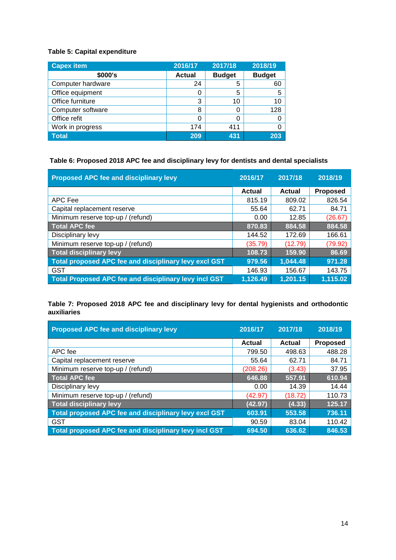### **Table 5: Capital expenditure**

| <b>Capex item</b> | 2016/17       | 2017/18       | 2018/19       |
|-------------------|---------------|---------------|---------------|
| \$000's           | <b>Actual</b> | <b>Budget</b> | <b>Budget</b> |
| Computer hardware | 24            | 5             | 60            |
| Office equipment  |               | 5             | 5             |
| Office furniture  | 3             | 10            | 10            |
| Computer software | 8             | 0             | 128           |
| Office refit      |               | 0             |               |
| Work in progress  | 174           | 411           |               |
| <b>Total</b>      | 209           | 431           | 203           |

# **Table 6: Proposed 2018 APC fee and disciplinary levy for dentists and dental specialists**

| Proposed APC fee and disciplinary levy                | 2016/17  | 2017/18  | 2018/19         |
|-------------------------------------------------------|----------|----------|-----------------|
|                                                       | Actual   | Actual   | <b>Proposed</b> |
| APC Fee                                               | 815.19   | 809.02   | 826.54          |
| Capital replacement reserve                           | 55.64    | 62.71    | 84.71           |
| Minimum reserve top-up / (refund)                     | 0.00     | 12.85    | (26.67)         |
| <b>Total APC fee</b>                                  | 870.83   | 884.58   | 884.58          |
| Disciplinary levy                                     | 144.52   | 172.69   | 166.61          |
| Minimum reserve top-up / (refund)                     | (35.79)  | (12.79)  | (79.92)         |
| Total disciplinary levy                               | 108.73   | 159.90   | 86.69           |
| Total proposed APC fee and disciplinary levy excl GST | 979.56   | 1,044.48 | 971.28          |
| <b>GST</b>                                            | 146.93   | 156.67   | 143.75          |
| Total Proposed APC fee and disciplinary levy incl GST | 1,126.49 | 1,201.15 | 1,115.02        |

### **Table 7: Proposed 2018 APC fee and disciplinary levy for dental hygienists and orthodontic auxiliaries**

| <b>Proposed APC fee and disciplinary levy</b>         | 2016/17  | 2017/18 | 2018/19         |
|-------------------------------------------------------|----------|---------|-----------------|
|                                                       | Actual   | Actual  | <b>Proposed</b> |
| APC fee                                               | 799.50   | 498.63  | 488.28          |
| Capital replacement reserve                           | 55.64    | 62.71   | 84.71           |
| Minimum reserve top-up / (refund)                     | (208.26) | (3.43)  | 37.95           |
| <b>Total APC fee</b>                                  | 646.88   | 557.91  | 610.94          |
| Disciplinary levy                                     | 0.00     | 14.39   | 14.44           |
| Minimum reserve top-up / (refund)                     | (42.97)  | (18.72) | 110.73          |
| Total disciplinary levy                               | (42.97)  | (4.33)  | 125.17          |
| Total proposed APC fee and disciplinary levy excl GST | 603.91   | 553.58  | 736.11          |
| <b>GST</b>                                            | 90.59    | 83.04   | 110.42          |
| Total proposed APC fee and disciplinary levy incl GST | 694.50   | 636.62  | 846.53          |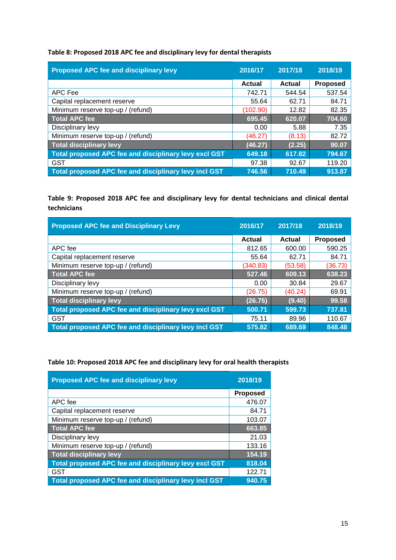Table 8: Proposed 2018 APC fee and disciplinary levy for dental therapists

| Proposed APC fee and disciplinary levy                | 2016/17  | 2017/18       | 2018/19         |
|-------------------------------------------------------|----------|---------------|-----------------|
|                                                       | Actual   | <b>Actual</b> | <b>Proposed</b> |
| APC Fee                                               | 742.71   | 544.54        | 537.54          |
| Capital replacement reserve                           | 55.64    | 62.71         | 84.71           |
| Minimum reserve top-up / (refund)                     | (102.90) | 12.82         | 82.35           |
| <b>Total APC fee</b>                                  | 695.45   | 620.07        | 704.60          |
| Disciplinary levy                                     | 0.00     | 5.88          | 7.35            |
| Minimum reserve top-up / (refund)                     | (46.27)  | (8.13)        | 82.72           |
| Total disciplinary levy                               | (46.27)  | (2.25)        | 90.07           |
| Total proposed APC fee and disciplinary levy excl GST | 649.18   | 617.82        | 794.67          |
| <b>GST</b>                                            | 97.38    | 92.67         | 119.20          |
| Total proposed APC fee and disciplinary levy incl GST | 746.56   | 710.49        | 913.87          |

Table 9: Proposed 2018 APC fee and disciplinary levy for dental technicians and clinical dental technicians

| <b>Proposed APC fee and Disciplinary Levy</b>         | 2016/17       | 2017/18       | 2018/19         |
|-------------------------------------------------------|---------------|---------------|-----------------|
|                                                       | <b>Actual</b> | <b>Actual</b> | <b>Proposed</b> |
| APC fee                                               | 812.65        | 600.00        | 590.25          |
| Capital replacement reserve                           | 55.64         | 62.71         | 84.71           |
| Minimum reserve top-up / (refund)                     | (340.83)      | (53.58)       | (36.73)         |
| <b>Total APC fee</b>                                  | 527.46        | 609.13        | 638.23          |
| Disciplinary levy                                     | 0.00          | 30.84         | 29.67           |
| Minimum reserve top-up / (refund)                     | (26.75)       | (40.24)       | 69.91           |
| <b>Total disciplinary levy</b>                        | (26.75)       | (9.40)        | 99.58           |
| Total proposed APC fee and disciplinary levy excl GST | 500.71        | 599.73        | 737.81          |
| <b>GST</b>                                            | 75.11         | 89.96         | 110.67          |
| Total proposed APC fee and disciplinary levy incl GST | 575.82        | 689.69        | 848.48          |

Table 10: Proposed 2018 APC fee and disciplinary levy for oral health therapists

| <b>Proposed APC fee and disciplinary levy</b>         | 2018/19         |
|-------------------------------------------------------|-----------------|
|                                                       | <b>Proposed</b> |
| APC fee                                               | 476.07          |
| Capital replacement reserve                           | 84.71           |
| Minimum reserve top-up / (refund)                     | 103.07          |
| <b>Total APC fee</b>                                  | 663.85          |
| Disciplinary levy                                     | 21.03           |
| Minimum reserve top-up / (refund)                     | 133.16          |
| <b>Total disciplinary levy</b>                        | 154.19          |
| Total proposed APC fee and disciplinary levy excl GST | 818.04          |
| <b>GST</b>                                            | 122.71          |
| Total proposed APC fee and disciplinary levy incl GST | 940.75          |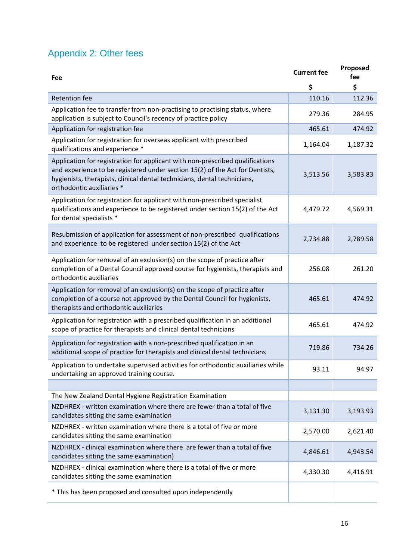# Appendix 2: Other fees

| Fee                                                                                                                                                                                                                                                                    | <b>Current fee</b> | Proposed<br>fee |
|------------------------------------------------------------------------------------------------------------------------------------------------------------------------------------------------------------------------------------------------------------------------|--------------------|-----------------|
|                                                                                                                                                                                                                                                                        | \$                 | \$              |
| <b>Retention fee</b>                                                                                                                                                                                                                                                   | 110.16             | 112.36          |
| Application fee to transfer from non-practising to practising status, where<br>application is subject to Council's recency of practice policy                                                                                                                          | 279.36             | 284.95          |
| Application for registration fee                                                                                                                                                                                                                                       | 465.61             | 474.92          |
| Application for registration for overseas applicant with prescribed<br>qualifications and experience *                                                                                                                                                                 | 1,164.04           | 1,187.32        |
| Application for registration for applicant with non-prescribed qualifications<br>and experience to be registered under section 15(2) of the Act for Dentists,<br>hygienists, therapists, clinical dental technicians, dental technicians,<br>orthodontic auxiliaries * | 3,513.56           | 3,583.83        |
| Application for registration for applicant with non-prescribed specialist<br>qualifications and experience to be registered under section 15(2) of the Act<br>for dental specialists *                                                                                 | 4,479.72           | 4,569.31        |
| Resubmission of application for assessment of non-prescribed qualifications<br>and experience to be registered under section 15(2) of the Act                                                                                                                          | 2,734.88           | 2,789.58        |
| Application for removal of an exclusion(s) on the scope of practice after<br>completion of a Dental Council approved course for hygienists, therapists and<br>orthodontic auxiliaries                                                                                  | 256.08             | 261.20          |
| Application for removal of an exclusion(s) on the scope of practice after<br>completion of a course not approved by the Dental Council for hygienists,<br>therapists and orthodontic auxiliaries                                                                       | 465.61             | 474.92          |
| Application for registration with a prescribed qualification in an additional<br>scope of practice for therapists and clinical dental technicians                                                                                                                      | 465.61             | 474.92          |
| Application for registration with a non-prescribed qualification in an<br>additional scope of practice for therapists and clinical dental technicians                                                                                                                  | 719.86             | 734.26          |
| Application to undertake supervised activities for orthodontic auxiliaries while<br>undertaking an approved training course.                                                                                                                                           | 93.11              | 94.97           |
|                                                                                                                                                                                                                                                                        |                    |                 |
| The New Zealand Dental Hygiene Registration Examination                                                                                                                                                                                                                |                    |                 |
| NZDHREX - written examination where there are fewer than a total of five<br>candidates sitting the same examination                                                                                                                                                    | 3,131.30           | 3,193.93        |
| NZDHREX - written examination where there is a total of five or more<br>candidates sitting the same examination                                                                                                                                                        | 2,570.00           | 2,621.40        |
| NZDHREX - clinical examination where there are fewer than a total of five<br>candidates sitting the same examination)                                                                                                                                                  | 4,846.61           | 4,943.54        |
| NZDHREX - clinical examination where there is a total of five or more<br>candidates sitting the same examination                                                                                                                                                       | 4,330.30           | 4,416.91        |
| * This has been proposed and consulted upon independently                                                                                                                                                                                                              |                    |                 |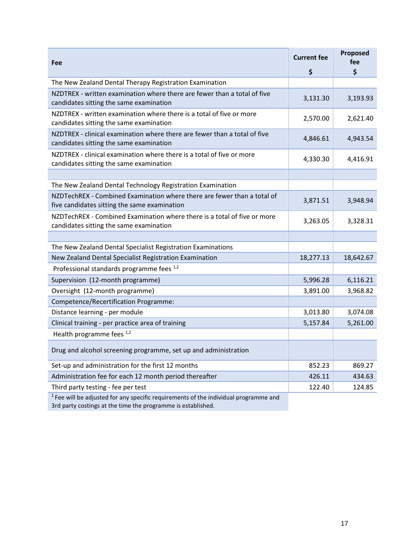| Fee                                                                                                                     | <b>Current fee</b> | Proposed<br>fee |
|-------------------------------------------------------------------------------------------------------------------------|--------------------|-----------------|
|                                                                                                                         | \$                 | \$              |
| The New Zealand Dental Therapy Registration Examination                                                                 |                    |                 |
| NZDTREX - written examination where there are fewer than a total of five<br>candidates sitting the same examination     | 3,131.30           | 3,193.93        |
| NZDTREX - written examination where there is a total of five or more<br>candidates sitting the same examination         | 2,570.00           | 2,621.40        |
| NZDTREX - clinical examination where there are fewer than a total of five<br>candidates sitting the same examination    | 4,846.61           | 4,943.54        |
| NZDTREX - clinical examination where there is a total of five or more<br>candidates sitting the same examination        | 4,330.30           | 4,416.91        |
|                                                                                                                         |                    |                 |
| The New Zealand Dental Technology Registration Examination                                                              |                    |                 |
| NZDTechREX - Combined Examination where there are fewer than a total of<br>five candidates sitting the same examination | 3,871.51           | 3,948.94        |
| NZDTechREX - Combined Examination where there is a total of five or more<br>candidates sitting the same examination     | 3,263.05           | 3,328.31        |
|                                                                                                                         |                    |                 |
| The New Zealand Dental Specialist Registration Examinations                                                             |                    |                 |
| New Zealand Dental Specialist Registration Examination                                                                  | 18,277.13          | 18,642.67       |
| Professional standards programme fees 1,2                                                                               |                    |                 |
| Supervision (12-month programme)                                                                                        | 5,996.28           | 6,116.21        |
| Oversight (12-month programme)                                                                                          | 3,891.00           | 3,968.82        |
| Competence/Recertification Programme:                                                                                   |                    |                 |
| Distance learning - per module                                                                                          | 3,013.80           | 3,074.08        |
| Clinical training - per practice area of training                                                                       | 5,157.84           | 5,261.00        |
| Health programme fees 1,2                                                                                               |                    |                 |
| Drug and alcohol screening programme, set up and administration                                                         |                    |                 |
| Set-up and administration for the first 12 months                                                                       | 852.23             | 869.27          |
| Administration fee for each 12 month period thereafter                                                                  | 426.11             | 434.63          |
| Third party testing - fee per test                                                                                      | 122.40             | 124.85          |
| $1$ Fee will be adjusted for any specific requirements of the individual programme and                                  |                    |                 |

3rd party costings at the time the programme is established.